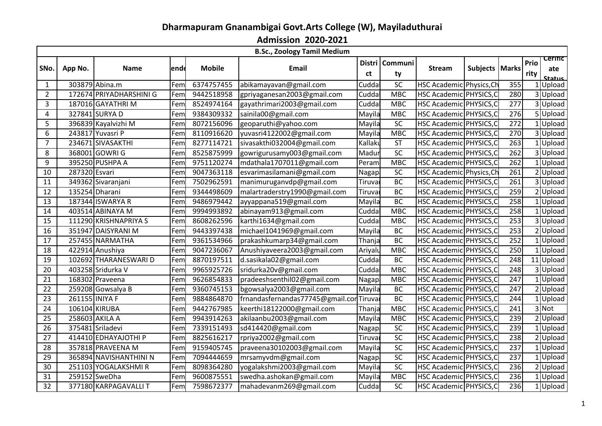## **Dharmapuram Gnanambigai Govt.Arts College (W), Mayiladuthurai**

**Admission 2020-2021**

| Prio<br><b>Communi</b><br><b>Distri</b><br><b>Mobile</b><br><b>Email</b><br>Subjects   Marks<br>App No.<br>ende<br><b>Stream</b><br><b>Name</b><br>ct<br>rity<br>ty<br>SC<br>303879 Abina.m<br>6374757455<br>abikamayavan@gmail.com<br>HSC Academic Physics, Ch<br>Cudda<br>355<br>Fem<br>172674 PRIYADHARSHINI G<br>9442518958<br>gpriyaganesan2003@gmail.com<br><b>MBC</b><br>HSC Academic PHYSICS, C<br>280<br>Fem<br>Cudda<br>gayathrimari2003@gmail.com<br>277<br>187016 GAYATHRI M<br>8524974164<br>Cudda<br><b>MBC</b><br>HSC Academic PHYSICS, C<br>Fem<br>9384309332<br>327841 SURYA D<br>sainila00@gmail.com<br><b>MBC</b><br>HSC Academic PHYSICS, C<br>276<br>Mayila<br>Fem<br>272<br>396839 Kayalvizhi M<br>8072156096<br>geoparuthi@yahoo.com<br>SC<br>HSC Academic PHYSICS, C<br>Fem<br>Mayila<br>6<br>243817 Yuvasri P<br>8110916620<br>yuvasri4122002@gmail.com<br>HSC Academic PHYSICS, C<br>270<br><b>MBC</b><br>Mayila<br>Fem<br>234671 SIVASAKTHI<br>8277114721<br>sivasakthi032004@gmail.com<br>263<br>Kallakı<br>ST<br>HSC Academic PHYSICS, C<br>Fem<br>$\overline{SC}$<br>368001 GOWRI G<br>8525875999<br>HSC Academic PHYSICS, C<br>262<br>Fem<br>gowrigurusamy003@gmail.com<br>Madur<br>395250 PUSHPA A<br>9751120274<br>mdathala1707011@gmail.com<br><b>MBC</b><br>262<br>Fem<br>Peram<br>HSC Academic PHYSICS, C<br>287320 Esvari<br>9047363118<br>esvarimasilamani@gmail.com<br><b>SC</b><br>261<br>Fem<br>HSC Academic Physics, Ch<br>Nagap<br>349362 Sivaranjani<br>7502962591<br>manimuruganvdp@gmail.com<br><b>BC</b><br>261<br>HSC Academic PHYSICS, C<br>Fem<br>Tiruvaı<br>135254 Dharani<br>9344498609<br>malartraderstry1990@gmail.com<br><b>BC</b><br>259<br>HSC Academic PHYSICS, C<br>Fem<br>Tiruvaı<br>9486979442<br>ayyappana519@gmail.com<br><b>BC</b><br>258<br>187344 ISWARYA R<br>Mayila<br>HSC Academic PHYSICS, C<br>Fem<br>403514 ABINAYA M<br>9994993892<br>abinayam913@gmail.com<br><b>MBC</b><br>HSC Academic PHYSICS, C<br>258<br>Fem<br>Cudda<br>111290 KRISHNAPRIYA S<br>8608262596<br>karthi1634@gmail.com<br>HSC Academic PHYSICS, C<br>253<br>Cudda<br><b>MBC</b><br>Fem<br>9443397438<br>michael1041969@gmail.com<br>253<br>351947 DAISYRANI M<br><b>BC</b><br>HSC Academic PHYSICS, C<br>Fem<br>Mayila<br><b>BC</b><br>252<br>257455 NARMATHA<br>Fem<br>9361534966<br>prakashkumarp34@gmail.com<br>Thanja<br>HSC Academic PHYSICS, C<br>9047236067<br>250<br>422914 Anushiya<br>Fem<br>Anushiyaveera2003@gmail.com<br><b>MBC</b><br>HSC Academic PHYSICS, C<br>Ariyalu<br>102692 THARANESWARI D<br>8870197511<br>HSC Academic PHYSICS, C<br>248<br>Fem<br>d.sasikala02@gmail.com<br>Cuddal<br><b>BC</b><br>11 Upload<br>403258 Sridurka V<br>9965925726<br>sridurka20v@gmail.com<br>Cuddal<br><b>MBC</b><br>HSC Academic PHYSICS, C<br>248<br>Fem<br>168302 Praveena<br>9626854833<br>pradeeshsenthil02@gmail.com<br>247<br><b>MBC</b><br>HSC Academic PHYSICS, C<br>Fem<br>Nagap<br>9360745153<br>bgowsalya2003@gmail.com<br>259208 Gowsalya B<br>Mayila<br><b>BC</b><br>HSC Academic PHYSICS, C<br>247<br>Fem<br>261155 INIYA F<br>9884864870<br>frnandasfernandas77745@gmail.conTiruvar<br><b>BC</b><br>244<br>Fem<br>HSC Academic PHYSICS, C<br>106104 KIRUBA<br>9442767985<br>keerthi18122000@gmail.com<br><b>MBC</b><br>HSC Academic PHYSICS, C<br>241<br>3 Not<br>Fem<br>Thanja<br>258603 AKILA A<br>9943914263<br>239<br>akilaanbu2003@gmail.com<br><b>MBC</b><br>HSC Academic PHYSICS, C<br>Fem<br>Mayila<br>375481 Sriladevi<br>7339151493<br>sd414420@gmail.com<br><b>SC</b><br>HSC Academic PHYSICS, C<br>239<br>Fem<br>Nagap<br>8825616217<br>rpriya2002@gmail.com<br>SC<br>414410 EDHAYAJOTHI P<br>HSC Academic PHYSICS, C<br>238<br>Fem<br>Tiruvar<br>SC<br>357818 PRAVEENA M<br>9159405745<br>237<br>Fem<br>praveena30102003@gmail.com<br>Mayila<br>HSC Academic PHYSICS, C<br>SC<br>365894 NAVISHANTHINI N<br>7094444659<br>mrsamyvdm@gmail.com<br>HSC Academic PHYSICS, C<br>237<br>Fem<br>Nagap<br>$\overline{SC}$<br>251103 YOGALAKSHMIR<br>8098364280<br>yogalakshmi2003@gmail.com<br>236<br>Mayila<br>HSC Academic PHYSICS, C<br>Fem<br>259152 SweDha<br>9600875551<br>swedha.ashokan@gmail.com<br><b>MBC</b><br>HSC Academic PHYSICS, C<br>236<br>Fem<br>Mayila<br>1<br>377180 KARPAGAVALLI T<br>SC<br>236<br>Fem<br>7598672377<br>mahadevanm269@gmail.com<br>Cuddal<br>HSC Academic PHYSICS, C |                  |  |  | <b>B.Sc., Zoology Tamil Medium</b> |  |  |  | <b>Cerific</b> |
|-------------------------------------------------------------------------------------------------------------------------------------------------------------------------------------------------------------------------------------------------------------------------------------------------------------------------------------------------------------------------------------------------------------------------------------------------------------------------------------------------------------------------------------------------------------------------------------------------------------------------------------------------------------------------------------------------------------------------------------------------------------------------------------------------------------------------------------------------------------------------------------------------------------------------------------------------------------------------------------------------------------------------------------------------------------------------------------------------------------------------------------------------------------------------------------------------------------------------------------------------------------------------------------------------------------------------------------------------------------------------------------------------------------------------------------------------------------------------------------------------------------------------------------------------------------------------------------------------------------------------------------------------------------------------------------------------------------------------------------------------------------------------------------------------------------------------------------------------------------------------------------------------------------------------------------------------------------------------------------------------------------------------------------------------------------------------------------------------------------------------------------------------------------------------------------------------------------------------------------------------------------------------------------------------------------------------------------------------------------------------------------------------------------------------------------------------------------------------------------------------------------------------------------------------------------------------------------------------------------------------------------------------------------------------------------------------------------------------------------------------------------------------------------------------------------------------------------------------------------------------------------------------------------------------------------------------------------------------------------------------------------------------------------------------------------------------------------------------------------------------------------------------------------------------------------------------------------------------------------------------------------------------------------------------------------------------------------------------------------------------------------------------------------------------------------------------------------------------------------------------------------------------------------------------------------------------------------------------------------------------------------------------------------------------------------------------------------------------------------------------------------------------------------------------------------------------------------------------------------------------------------------------------------------------------------------------------------------------------------------------------------------------------------------------------------------------------------------------------------------------------------------------------------------------------------------------------------------------------------------------------------------------------------------------------------------------------------------------------------------------------------|------------------|--|--|------------------------------------|--|--|--|----------------|
|                                                                                                                                                                                                                                                                                                                                                                                                                                                                                                                                                                                                                                                                                                                                                                                                                                                                                                                                                                                                                                                                                                                                                                                                                                                                                                                                                                                                                                                                                                                                                                                                                                                                                                                                                                                                                                                                                                                                                                                                                                                                                                                                                                                                                                                                                                                                                                                                                                                                                                                                                                                                                                                                                                                                                                                                                                                                                                                                                                                                                                                                                                                                                                                                                                                                                                                                                                                                                                                                                                                                                                                                                                                                                                                                                                                                                                                                                                                                                                                                                                                                                                                                                                                                                                                                                                                                                                                     | SNo.             |  |  |                                    |  |  |  | ate<br>Status  |
|                                                                                                                                                                                                                                                                                                                                                                                                                                                                                                                                                                                                                                                                                                                                                                                                                                                                                                                                                                                                                                                                                                                                                                                                                                                                                                                                                                                                                                                                                                                                                                                                                                                                                                                                                                                                                                                                                                                                                                                                                                                                                                                                                                                                                                                                                                                                                                                                                                                                                                                                                                                                                                                                                                                                                                                                                                                                                                                                                                                                                                                                                                                                                                                                                                                                                                                                                                                                                                                                                                                                                                                                                                                                                                                                                                                                                                                                                                                                                                                                                                                                                                                                                                                                                                                                                                                                                                                     | -1               |  |  |                                    |  |  |  | Upload         |
|                                                                                                                                                                                                                                                                                                                                                                                                                                                                                                                                                                                                                                                                                                                                                                                                                                                                                                                                                                                                                                                                                                                                                                                                                                                                                                                                                                                                                                                                                                                                                                                                                                                                                                                                                                                                                                                                                                                                                                                                                                                                                                                                                                                                                                                                                                                                                                                                                                                                                                                                                                                                                                                                                                                                                                                                                                                                                                                                                                                                                                                                                                                                                                                                                                                                                                                                                                                                                                                                                                                                                                                                                                                                                                                                                                                                                                                                                                                                                                                                                                                                                                                                                                                                                                                                                                                                                                                     | $\overline{2}$   |  |  |                                    |  |  |  | 3 Upload       |
|                                                                                                                                                                                                                                                                                                                                                                                                                                                                                                                                                                                                                                                                                                                                                                                                                                                                                                                                                                                                                                                                                                                                                                                                                                                                                                                                                                                                                                                                                                                                                                                                                                                                                                                                                                                                                                                                                                                                                                                                                                                                                                                                                                                                                                                                                                                                                                                                                                                                                                                                                                                                                                                                                                                                                                                                                                                                                                                                                                                                                                                                                                                                                                                                                                                                                                                                                                                                                                                                                                                                                                                                                                                                                                                                                                                                                                                                                                                                                                                                                                                                                                                                                                                                                                                                                                                                                                                     | 3                |  |  |                                    |  |  |  | 3 Upload       |
|                                                                                                                                                                                                                                                                                                                                                                                                                                                                                                                                                                                                                                                                                                                                                                                                                                                                                                                                                                                                                                                                                                                                                                                                                                                                                                                                                                                                                                                                                                                                                                                                                                                                                                                                                                                                                                                                                                                                                                                                                                                                                                                                                                                                                                                                                                                                                                                                                                                                                                                                                                                                                                                                                                                                                                                                                                                                                                                                                                                                                                                                                                                                                                                                                                                                                                                                                                                                                                                                                                                                                                                                                                                                                                                                                                                                                                                                                                                                                                                                                                                                                                                                                                                                                                                                                                                                                                                     | 4                |  |  |                                    |  |  |  | 5 Upload       |
|                                                                                                                                                                                                                                                                                                                                                                                                                                                                                                                                                                                                                                                                                                                                                                                                                                                                                                                                                                                                                                                                                                                                                                                                                                                                                                                                                                                                                                                                                                                                                                                                                                                                                                                                                                                                                                                                                                                                                                                                                                                                                                                                                                                                                                                                                                                                                                                                                                                                                                                                                                                                                                                                                                                                                                                                                                                                                                                                                                                                                                                                                                                                                                                                                                                                                                                                                                                                                                                                                                                                                                                                                                                                                                                                                                                                                                                                                                                                                                                                                                                                                                                                                                                                                                                                                                                                                                                     | 5                |  |  |                                    |  |  |  | 1 Upload       |
|                                                                                                                                                                                                                                                                                                                                                                                                                                                                                                                                                                                                                                                                                                                                                                                                                                                                                                                                                                                                                                                                                                                                                                                                                                                                                                                                                                                                                                                                                                                                                                                                                                                                                                                                                                                                                                                                                                                                                                                                                                                                                                                                                                                                                                                                                                                                                                                                                                                                                                                                                                                                                                                                                                                                                                                                                                                                                                                                                                                                                                                                                                                                                                                                                                                                                                                                                                                                                                                                                                                                                                                                                                                                                                                                                                                                                                                                                                                                                                                                                                                                                                                                                                                                                                                                                                                                                                                     |                  |  |  |                                    |  |  |  | 3 Upload       |
|                                                                                                                                                                                                                                                                                                                                                                                                                                                                                                                                                                                                                                                                                                                                                                                                                                                                                                                                                                                                                                                                                                                                                                                                                                                                                                                                                                                                                                                                                                                                                                                                                                                                                                                                                                                                                                                                                                                                                                                                                                                                                                                                                                                                                                                                                                                                                                                                                                                                                                                                                                                                                                                                                                                                                                                                                                                                                                                                                                                                                                                                                                                                                                                                                                                                                                                                                                                                                                                                                                                                                                                                                                                                                                                                                                                                                                                                                                                                                                                                                                                                                                                                                                                                                                                                                                                                                                                     | $\overline{7}$   |  |  |                                    |  |  |  | 1 Upload       |
|                                                                                                                                                                                                                                                                                                                                                                                                                                                                                                                                                                                                                                                                                                                                                                                                                                                                                                                                                                                                                                                                                                                                                                                                                                                                                                                                                                                                                                                                                                                                                                                                                                                                                                                                                                                                                                                                                                                                                                                                                                                                                                                                                                                                                                                                                                                                                                                                                                                                                                                                                                                                                                                                                                                                                                                                                                                                                                                                                                                                                                                                                                                                                                                                                                                                                                                                                                                                                                                                                                                                                                                                                                                                                                                                                                                                                                                                                                                                                                                                                                                                                                                                                                                                                                                                                                                                                                                     | 8                |  |  |                                    |  |  |  | 3 Upload       |
|                                                                                                                                                                                                                                                                                                                                                                                                                                                                                                                                                                                                                                                                                                                                                                                                                                                                                                                                                                                                                                                                                                                                                                                                                                                                                                                                                                                                                                                                                                                                                                                                                                                                                                                                                                                                                                                                                                                                                                                                                                                                                                                                                                                                                                                                                                                                                                                                                                                                                                                                                                                                                                                                                                                                                                                                                                                                                                                                                                                                                                                                                                                                                                                                                                                                                                                                                                                                                                                                                                                                                                                                                                                                                                                                                                                                                                                                                                                                                                                                                                                                                                                                                                                                                                                                                                                                                                                     | $\boldsymbol{9}$ |  |  |                                    |  |  |  | 1 Upload       |
|                                                                                                                                                                                                                                                                                                                                                                                                                                                                                                                                                                                                                                                                                                                                                                                                                                                                                                                                                                                                                                                                                                                                                                                                                                                                                                                                                                                                                                                                                                                                                                                                                                                                                                                                                                                                                                                                                                                                                                                                                                                                                                                                                                                                                                                                                                                                                                                                                                                                                                                                                                                                                                                                                                                                                                                                                                                                                                                                                                                                                                                                                                                                                                                                                                                                                                                                                                                                                                                                                                                                                                                                                                                                                                                                                                                                                                                                                                                                                                                                                                                                                                                                                                                                                                                                                                                                                                                     | 10               |  |  |                                    |  |  |  | 2 Upload       |
|                                                                                                                                                                                                                                                                                                                                                                                                                                                                                                                                                                                                                                                                                                                                                                                                                                                                                                                                                                                                                                                                                                                                                                                                                                                                                                                                                                                                                                                                                                                                                                                                                                                                                                                                                                                                                                                                                                                                                                                                                                                                                                                                                                                                                                                                                                                                                                                                                                                                                                                                                                                                                                                                                                                                                                                                                                                                                                                                                                                                                                                                                                                                                                                                                                                                                                                                                                                                                                                                                                                                                                                                                                                                                                                                                                                                                                                                                                                                                                                                                                                                                                                                                                                                                                                                                                                                                                                     | 11               |  |  |                                    |  |  |  | 3 Upload       |
|                                                                                                                                                                                                                                                                                                                                                                                                                                                                                                                                                                                                                                                                                                                                                                                                                                                                                                                                                                                                                                                                                                                                                                                                                                                                                                                                                                                                                                                                                                                                                                                                                                                                                                                                                                                                                                                                                                                                                                                                                                                                                                                                                                                                                                                                                                                                                                                                                                                                                                                                                                                                                                                                                                                                                                                                                                                                                                                                                                                                                                                                                                                                                                                                                                                                                                                                                                                                                                                                                                                                                                                                                                                                                                                                                                                                                                                                                                                                                                                                                                                                                                                                                                                                                                                                                                                                                                                     | 12               |  |  |                                    |  |  |  | 2 Upload       |
|                                                                                                                                                                                                                                                                                                                                                                                                                                                                                                                                                                                                                                                                                                                                                                                                                                                                                                                                                                                                                                                                                                                                                                                                                                                                                                                                                                                                                                                                                                                                                                                                                                                                                                                                                                                                                                                                                                                                                                                                                                                                                                                                                                                                                                                                                                                                                                                                                                                                                                                                                                                                                                                                                                                                                                                                                                                                                                                                                                                                                                                                                                                                                                                                                                                                                                                                                                                                                                                                                                                                                                                                                                                                                                                                                                                                                                                                                                                                                                                                                                                                                                                                                                                                                                                                                                                                                                                     | 13               |  |  |                                    |  |  |  | $1$ Upload     |
|                                                                                                                                                                                                                                                                                                                                                                                                                                                                                                                                                                                                                                                                                                                                                                                                                                                                                                                                                                                                                                                                                                                                                                                                                                                                                                                                                                                                                                                                                                                                                                                                                                                                                                                                                                                                                                                                                                                                                                                                                                                                                                                                                                                                                                                                                                                                                                                                                                                                                                                                                                                                                                                                                                                                                                                                                                                                                                                                                                                                                                                                                                                                                                                                                                                                                                                                                                                                                                                                                                                                                                                                                                                                                                                                                                                                                                                                                                                                                                                                                                                                                                                                                                                                                                                                                                                                                                                     | 14               |  |  |                                    |  |  |  | 1 Upload       |
|                                                                                                                                                                                                                                                                                                                                                                                                                                                                                                                                                                                                                                                                                                                                                                                                                                                                                                                                                                                                                                                                                                                                                                                                                                                                                                                                                                                                                                                                                                                                                                                                                                                                                                                                                                                                                                                                                                                                                                                                                                                                                                                                                                                                                                                                                                                                                                                                                                                                                                                                                                                                                                                                                                                                                                                                                                                                                                                                                                                                                                                                                                                                                                                                                                                                                                                                                                                                                                                                                                                                                                                                                                                                                                                                                                                                                                                                                                                                                                                                                                                                                                                                                                                                                                                                                                                                                                                     | 15               |  |  |                                    |  |  |  | 3 Upload       |
|                                                                                                                                                                                                                                                                                                                                                                                                                                                                                                                                                                                                                                                                                                                                                                                                                                                                                                                                                                                                                                                                                                                                                                                                                                                                                                                                                                                                                                                                                                                                                                                                                                                                                                                                                                                                                                                                                                                                                                                                                                                                                                                                                                                                                                                                                                                                                                                                                                                                                                                                                                                                                                                                                                                                                                                                                                                                                                                                                                                                                                                                                                                                                                                                                                                                                                                                                                                                                                                                                                                                                                                                                                                                                                                                                                                                                                                                                                                                                                                                                                                                                                                                                                                                                                                                                                                                                                                     | 16               |  |  |                                    |  |  |  | 2 Upload       |
|                                                                                                                                                                                                                                                                                                                                                                                                                                                                                                                                                                                                                                                                                                                                                                                                                                                                                                                                                                                                                                                                                                                                                                                                                                                                                                                                                                                                                                                                                                                                                                                                                                                                                                                                                                                                                                                                                                                                                                                                                                                                                                                                                                                                                                                                                                                                                                                                                                                                                                                                                                                                                                                                                                                                                                                                                                                                                                                                                                                                                                                                                                                                                                                                                                                                                                                                                                                                                                                                                                                                                                                                                                                                                                                                                                                                                                                                                                                                                                                                                                                                                                                                                                                                                                                                                                                                                                                     | 17               |  |  |                                    |  |  |  | 1 Upload       |
|                                                                                                                                                                                                                                                                                                                                                                                                                                                                                                                                                                                                                                                                                                                                                                                                                                                                                                                                                                                                                                                                                                                                                                                                                                                                                                                                                                                                                                                                                                                                                                                                                                                                                                                                                                                                                                                                                                                                                                                                                                                                                                                                                                                                                                                                                                                                                                                                                                                                                                                                                                                                                                                                                                                                                                                                                                                                                                                                                                                                                                                                                                                                                                                                                                                                                                                                                                                                                                                                                                                                                                                                                                                                                                                                                                                                                                                                                                                                                                                                                                                                                                                                                                                                                                                                                                                                                                                     | 18               |  |  |                                    |  |  |  | 1 Upload       |
|                                                                                                                                                                                                                                                                                                                                                                                                                                                                                                                                                                                                                                                                                                                                                                                                                                                                                                                                                                                                                                                                                                                                                                                                                                                                                                                                                                                                                                                                                                                                                                                                                                                                                                                                                                                                                                                                                                                                                                                                                                                                                                                                                                                                                                                                                                                                                                                                                                                                                                                                                                                                                                                                                                                                                                                                                                                                                                                                                                                                                                                                                                                                                                                                                                                                                                                                                                                                                                                                                                                                                                                                                                                                                                                                                                                                                                                                                                                                                                                                                                                                                                                                                                                                                                                                                                                                                                                     | 19               |  |  |                                    |  |  |  |                |
|                                                                                                                                                                                                                                                                                                                                                                                                                                                                                                                                                                                                                                                                                                                                                                                                                                                                                                                                                                                                                                                                                                                                                                                                                                                                                                                                                                                                                                                                                                                                                                                                                                                                                                                                                                                                                                                                                                                                                                                                                                                                                                                                                                                                                                                                                                                                                                                                                                                                                                                                                                                                                                                                                                                                                                                                                                                                                                                                                                                                                                                                                                                                                                                                                                                                                                                                                                                                                                                                                                                                                                                                                                                                                                                                                                                                                                                                                                                                                                                                                                                                                                                                                                                                                                                                                                                                                                                     | 20               |  |  |                                    |  |  |  | 3 Upload       |
|                                                                                                                                                                                                                                                                                                                                                                                                                                                                                                                                                                                                                                                                                                                                                                                                                                                                                                                                                                                                                                                                                                                                                                                                                                                                                                                                                                                                                                                                                                                                                                                                                                                                                                                                                                                                                                                                                                                                                                                                                                                                                                                                                                                                                                                                                                                                                                                                                                                                                                                                                                                                                                                                                                                                                                                                                                                                                                                                                                                                                                                                                                                                                                                                                                                                                                                                                                                                                                                                                                                                                                                                                                                                                                                                                                                                                                                                                                                                                                                                                                                                                                                                                                                                                                                                                                                                                                                     | 21               |  |  |                                    |  |  |  | 1 Upload       |
|                                                                                                                                                                                                                                                                                                                                                                                                                                                                                                                                                                                                                                                                                                                                                                                                                                                                                                                                                                                                                                                                                                                                                                                                                                                                                                                                                                                                                                                                                                                                                                                                                                                                                                                                                                                                                                                                                                                                                                                                                                                                                                                                                                                                                                                                                                                                                                                                                                                                                                                                                                                                                                                                                                                                                                                                                                                                                                                                                                                                                                                                                                                                                                                                                                                                                                                                                                                                                                                                                                                                                                                                                                                                                                                                                                                                                                                                                                                                                                                                                                                                                                                                                                                                                                                                                                                                                                                     | 22               |  |  |                                    |  |  |  | 2 Upload       |
|                                                                                                                                                                                                                                                                                                                                                                                                                                                                                                                                                                                                                                                                                                                                                                                                                                                                                                                                                                                                                                                                                                                                                                                                                                                                                                                                                                                                                                                                                                                                                                                                                                                                                                                                                                                                                                                                                                                                                                                                                                                                                                                                                                                                                                                                                                                                                                                                                                                                                                                                                                                                                                                                                                                                                                                                                                                                                                                                                                                                                                                                                                                                                                                                                                                                                                                                                                                                                                                                                                                                                                                                                                                                                                                                                                                                                                                                                                                                                                                                                                                                                                                                                                                                                                                                                                                                                                                     | 23               |  |  |                                    |  |  |  | 1 Upload       |
|                                                                                                                                                                                                                                                                                                                                                                                                                                                                                                                                                                                                                                                                                                                                                                                                                                                                                                                                                                                                                                                                                                                                                                                                                                                                                                                                                                                                                                                                                                                                                                                                                                                                                                                                                                                                                                                                                                                                                                                                                                                                                                                                                                                                                                                                                                                                                                                                                                                                                                                                                                                                                                                                                                                                                                                                                                                                                                                                                                                                                                                                                                                                                                                                                                                                                                                                                                                                                                                                                                                                                                                                                                                                                                                                                                                                                                                                                                                                                                                                                                                                                                                                                                                                                                                                                                                                                                                     | $\overline{24}$  |  |  |                                    |  |  |  |                |
|                                                                                                                                                                                                                                                                                                                                                                                                                                                                                                                                                                                                                                                                                                                                                                                                                                                                                                                                                                                                                                                                                                                                                                                                                                                                                                                                                                                                                                                                                                                                                                                                                                                                                                                                                                                                                                                                                                                                                                                                                                                                                                                                                                                                                                                                                                                                                                                                                                                                                                                                                                                                                                                                                                                                                                                                                                                                                                                                                                                                                                                                                                                                                                                                                                                                                                                                                                                                                                                                                                                                                                                                                                                                                                                                                                                                                                                                                                                                                                                                                                                                                                                                                                                                                                                                                                                                                                                     | 25               |  |  |                                    |  |  |  | $2$ Upload     |
|                                                                                                                                                                                                                                                                                                                                                                                                                                                                                                                                                                                                                                                                                                                                                                                                                                                                                                                                                                                                                                                                                                                                                                                                                                                                                                                                                                                                                                                                                                                                                                                                                                                                                                                                                                                                                                                                                                                                                                                                                                                                                                                                                                                                                                                                                                                                                                                                                                                                                                                                                                                                                                                                                                                                                                                                                                                                                                                                                                                                                                                                                                                                                                                                                                                                                                                                                                                                                                                                                                                                                                                                                                                                                                                                                                                                                                                                                                                                                                                                                                                                                                                                                                                                                                                                                                                                                                                     | 26               |  |  |                                    |  |  |  | 1 Upload       |
|                                                                                                                                                                                                                                                                                                                                                                                                                                                                                                                                                                                                                                                                                                                                                                                                                                                                                                                                                                                                                                                                                                                                                                                                                                                                                                                                                                                                                                                                                                                                                                                                                                                                                                                                                                                                                                                                                                                                                                                                                                                                                                                                                                                                                                                                                                                                                                                                                                                                                                                                                                                                                                                                                                                                                                                                                                                                                                                                                                                                                                                                                                                                                                                                                                                                                                                                                                                                                                                                                                                                                                                                                                                                                                                                                                                                                                                                                                                                                                                                                                                                                                                                                                                                                                                                                                                                                                                     | 27               |  |  |                                    |  |  |  | 2 Upload       |
|                                                                                                                                                                                                                                                                                                                                                                                                                                                                                                                                                                                                                                                                                                                                                                                                                                                                                                                                                                                                                                                                                                                                                                                                                                                                                                                                                                                                                                                                                                                                                                                                                                                                                                                                                                                                                                                                                                                                                                                                                                                                                                                                                                                                                                                                                                                                                                                                                                                                                                                                                                                                                                                                                                                                                                                                                                                                                                                                                                                                                                                                                                                                                                                                                                                                                                                                                                                                                                                                                                                                                                                                                                                                                                                                                                                                                                                                                                                                                                                                                                                                                                                                                                                                                                                                                                                                                                                     | 28               |  |  |                                    |  |  |  | 1Upload        |
|                                                                                                                                                                                                                                                                                                                                                                                                                                                                                                                                                                                                                                                                                                                                                                                                                                                                                                                                                                                                                                                                                                                                                                                                                                                                                                                                                                                                                                                                                                                                                                                                                                                                                                                                                                                                                                                                                                                                                                                                                                                                                                                                                                                                                                                                                                                                                                                                                                                                                                                                                                                                                                                                                                                                                                                                                                                                                                                                                                                                                                                                                                                                                                                                                                                                                                                                                                                                                                                                                                                                                                                                                                                                                                                                                                                                                                                                                                                                                                                                                                                                                                                                                                                                                                                                                                                                                                                     | 29               |  |  |                                    |  |  |  | Upload         |
|                                                                                                                                                                                                                                                                                                                                                                                                                                                                                                                                                                                                                                                                                                                                                                                                                                                                                                                                                                                                                                                                                                                                                                                                                                                                                                                                                                                                                                                                                                                                                                                                                                                                                                                                                                                                                                                                                                                                                                                                                                                                                                                                                                                                                                                                                                                                                                                                                                                                                                                                                                                                                                                                                                                                                                                                                                                                                                                                                                                                                                                                                                                                                                                                                                                                                                                                                                                                                                                                                                                                                                                                                                                                                                                                                                                                                                                                                                                                                                                                                                                                                                                                                                                                                                                                                                                                                                                     | 30               |  |  |                                    |  |  |  | 2 Upload       |
|                                                                                                                                                                                                                                                                                                                                                                                                                                                                                                                                                                                                                                                                                                                                                                                                                                                                                                                                                                                                                                                                                                                                                                                                                                                                                                                                                                                                                                                                                                                                                                                                                                                                                                                                                                                                                                                                                                                                                                                                                                                                                                                                                                                                                                                                                                                                                                                                                                                                                                                                                                                                                                                                                                                                                                                                                                                                                                                                                                                                                                                                                                                                                                                                                                                                                                                                                                                                                                                                                                                                                                                                                                                                                                                                                                                                                                                                                                                                                                                                                                                                                                                                                                                                                                                                                                                                                                                     | 31               |  |  |                                    |  |  |  | <b>Upload</b>  |
|                                                                                                                                                                                                                                                                                                                                                                                                                                                                                                                                                                                                                                                                                                                                                                                                                                                                                                                                                                                                                                                                                                                                                                                                                                                                                                                                                                                                                                                                                                                                                                                                                                                                                                                                                                                                                                                                                                                                                                                                                                                                                                                                                                                                                                                                                                                                                                                                                                                                                                                                                                                                                                                                                                                                                                                                                                                                                                                                                                                                                                                                                                                                                                                                                                                                                                                                                                                                                                                                                                                                                                                                                                                                                                                                                                                                                                                                                                                                                                                                                                                                                                                                                                                                                                                                                                                                                                                     | 32               |  |  |                                    |  |  |  | $1$ Upload     |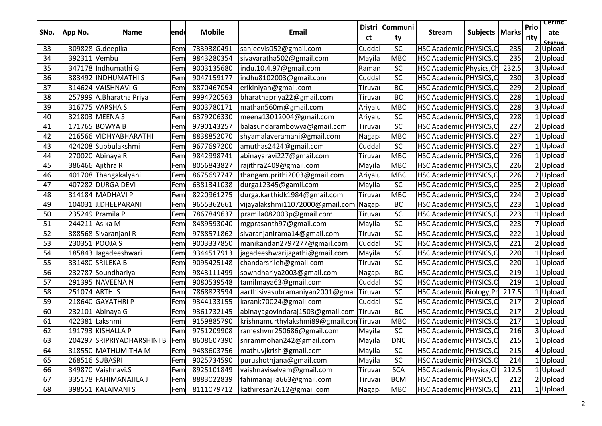| SNo. | App No.        | Name                       | lend | <b>Mobile</b> | Email                                   | Distri<br>ct | Communi<br>ty   | <b>Stream</b>            | <b>Subjects   Marks</b> |       | Prio<br>rity | <b>Cerific</b><br>ate<br>Status |
|------|----------------|----------------------------|------|---------------|-----------------------------------------|--------------|-----------------|--------------------------|-------------------------|-------|--------------|---------------------------------|
| 33   |                | 309828 G.deepika           | Fem  | 7339380491    | sanjeevis052@gmail.com                  | Cudda        | SC              | HSC Academic PHYSICS, C  |                         | 235   |              | 2Upload                         |
| 34   | 392311 Vembu   |                            | Fem  | 9843280354    | sivavaratha502@gmail.com                | Mayila       | <b>MBC</b>      | HSC Academic PHYSICS, C  |                         | 235   |              | 2 Upload                        |
| 35   |                | 347178 Indhumathi G        | Fem  | 9003135680    | indu.10.4.97@gmail.com                  | Ramar        | SC              | HSC Academic Physics, Ch |                         | 232.5 |              | 3 Upload                        |
| 36   |                | 383492 INDHUMATHI S        | Fem  | 9047159177    | indhu8102003@gmail.com                  | Cudda        | SC              | HSC Academic PHYSICS, C  |                         | 230   |              | 3 Upload                        |
| 37   |                | 314624 VAISHNAVI G         | Fem  | 8870467054    | erikiniyan@gmail.com                    | Tiruva       | <b>BC</b>       | HSC Academic PHYSICS, C  |                         | 229   |              | 2 Upload                        |
| 38   |                | 257999 A.Bharatha Priya    | Fem  | 9994720563    | bharathapriya22@gmail.com               | Tiruva       | BC              | HSC Academic PHYSICS, C  |                         | 228   |              | 1Upload                         |
| 39   |                | 316775 VARSHA S            | Fem  | 9003780171    | mathan560m@gmail.com                    | Ariyalu      | <b>MBC</b>      | HSC Academic PHYSICS, C  |                         | 228   |              | 3 Upload                        |
| 40   |                | 321803 MEENA S             | Fem  | 6379206330    | meena13012004@gmail.com                 | Ariyalu      | SC              | HSC Academic PHYSICS, C  |                         | 228   |              | 1 Upload                        |
| 41   |                | 171765 BOWYA B             | Fem  | 9790143257    | balasundarambowya@gmail.com             | Tiruvaı      | <b>SC</b>       | HSC Academic PHYSICS, C  |                         | 227   |              | 2 Upload                        |
| 42   |                | 216566 VIDHYABHARATHI      | Fem  | 8838852070    | shyamalaveramani@gmail.com              | Nagap        | <b>MBC</b>      | HSC Academic PHYSICS, C  |                         | 227   |              | 1 Upload                        |
| 43   |                | 424208 Subbulakshmi        | Fem  | 9677697200    | amuthas2424@gmail.com                   | Cudda        | SC              | HSC Academic PHYSICS, C  |                         | 227   |              | 1 Upload                        |
| 44   |                | 270020 Abinaya R           | Fem  | 9842998741    | abinayaravi227@gmail.com                | Tiruva       | <b>MBC</b>      | HSC Academic PHYSICS, C  |                         | 226   |              | 1 Upload                        |
| 45   |                | 386466 Ajithra R           | Fem  | 8056843827    | rajithra2409@gmail.com                  | Mayila       | <b>MBC</b>      | HSC Academic PHYSICS, C  |                         | 226   |              | 2 Upload                        |
| 46   |                | 401708 Thangakalyani       | Fem  | 8675697747    | thangam.prithi2003@gmail.com            | Ariyalu      | <b>MBC</b>      | HSC Academic PHYSICS, C  |                         | 226   |              | 2 Upload                        |
| 47   |                | 407282 DURGA DEVI          | Fem  | 6381341038    | durga12345@gamil.com                    | Mayila       | SC              | HSC Academic PHYSICS, C  |                         | 225   |              | 2 Upload                        |
| 48   |                | 314184 MADHAVI P           | Fem  | 8220961275    | durga.karthidk1984@gmail.com            | Tiruva       | <b>MBC</b>      | HSC Academic PHYSICS, C  |                         | 224   |              | 2 Upload                        |
| 49   |                | 104031J.DHEEPARANI         | Fem  | 9655362661    | vijayalakshmi11072000@gmail.com         | Nagap        | BC              | HSC Academic PHYSICS, C  |                         | 223   |              | 1 Upload                        |
| 50   |                | 235249 Pramila P           | Fem  | 7867849637    | pramila082003p@gmail.com                | Tiruva       | SC              | HSC Academic PHYSICS,C   |                         | 223   |              | 1 Upload                        |
| 51   | 244211 Asika M |                            | Fem  | 8489593040    | mgprasanth97@gmail.com                  | Mayila       | $\overline{SC}$ | HSC Academic PHYSICS, C  |                         | 223   |              | 7 Upload                        |
| 52   |                | 388568 Sivaranjani R       | Fem  | 9788571862    | sivaranjanirama14@gmail.com             | Tiruvaı      | SC              | HSC Academic PHYSICS, C  |                         | 222   |              | 1Upload                         |
| 53   |                | 230351 POOJA S             | Fem  | 9003337850    | manikandan2797277@gmail.com             | Cudda        | SC              | HSC Academic PHYSICS, C  |                         | 221   |              | 2 Upload                        |
| 54   |                | 185843 Jagadeeshwari       | Fem  | 9344517913    | jagadeeshwarijagathi@gmail.com          | Mayila       | SC              | HSC Academic PHYSICS, C  |                         | 220   |              | 1 Upload                        |
| 55   |                | 331480 SRILEKA B           | Fem  | 9095425148    | chandarsrileh@gmail.com                 | Tiruva       | <b>SC</b>       | HSC Academic PHYSICS, C  |                         | 220   |              | 1 Upload                        |
| 56   |                | 232787 Soundhariya         | Fem  | 9843111499    | sowndhariya2003@gmail.com               | Nagapa       | <b>BC</b>       | HSC Academic PHYSICS, C  |                         | 219   |              | 1 Upload                        |
| 57   |                | 291395 NAVEENA N           | Fem  | 9080539548    | tamilmaya63@gmail.com                   | Cudda        | SC              | HSC Academic PHYSICS, C  |                         | 219   |              | 1 Upload                        |
| 58   | 251074 ARTHI S |                            | Fem  | 7868823594    | aarthisivasubramaniyan2001@gmailTiruva  |              | SC              | HSC Academic Biology, Ph |                         | 217.5 |              | 1 Upload                        |
| 59   |                | 218640 GAYATHRI P          | Fem  | 9344133155    | karank70024@gmail.com                   | Cudda        | SC              | HSC Academic PHYSICS, C  |                         | 217   |              | 2 Upload                        |
| 60   |                | 232101 Abinaya G           | Fem  | 9361732145    | abinayagovindaraj1503@gmail.com Tiruvar |              | <b>BC</b>       | HSC Academic PHYSICS, C  |                         | 217   |              | 2 Upload                        |
| 61   |                | 422381 Lakshmi             | Fem  | 9159885790    | krishnamurthylakshmi89@gmail.conTiruva  |              | <b>MBC</b>      | HSC Academic PHYSICS, C  |                         | 217   |              | 1 Upload                        |
| 62   |                | 191793 KISHALLA P          | Fem  | 9751209908    | rameshvnr250686@gmail.com               | Mayila       | SC              | HSC Academic PHYSICS, C  |                         | 216   |              | 3 Upload                        |
| 63   |                | 204297 SRIPRIYADHARSHINI B | TFem | 8608607390    | srirammohan242@gmail.com                | Mayila       | <b>DNC</b>      | HSC Academic PHYSICS, C  |                         | 215   |              | 1 Upload                        |
| 64   |                | 318550 MATHUMITHA M        | Fem  | 9488603756    | mathuvjkrish@gmail.com                  | Mayila       | SC              | HSC Academic PHYSICS, C  |                         | 215   |              | 4 Upload                        |
| 65   |                | 268516 SUBASRI             | Fem  | 9025734590    | purushothjana@gmail.com                 | Mayila       | <b>SC</b>       | HSC Academic PHYSICS, C  |                         | 214   |              | 1Upload                         |
| 66   |                | 349870 Vaishnavi.S         | Fem  | 8925101849    | vaishnaviselvam@gmail.com               | Tiruvaı      | <b>SCA</b>      | HSC Academic Physics, Ch |                         | 212.5 |              | 1 Upload                        |
| 67   |                | 335178 FAHIMANAJILA J      | Fem  | 8883022839    | fahimanajila663@gmail.com               | Tiruvaı      | <b>BCM</b>      | HSC Academic PHYSICS, C  |                         | 212   |              | 2 Upload                        |
| 68   |                | 398551 KALAIVANI S         | Fem  |               | 8111079712 kathiresan2612@gmail.com     | Nagapi       | <b>MBC</b>      | HSC Academic PHYSICS, C  |                         | 211   |              | 1 Upload                        |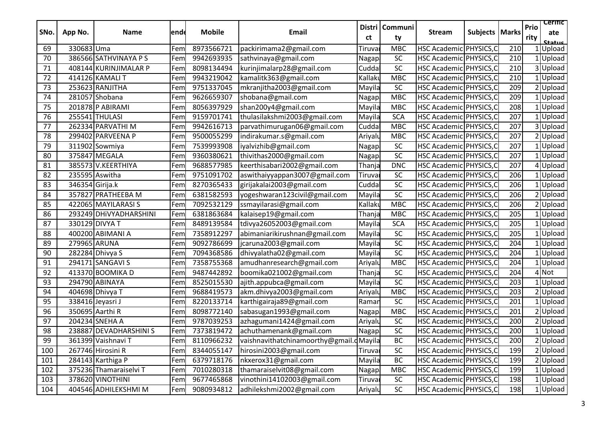| SNo. | App No.         | Name                   | lendd | <b>Mobile</b> | <b>Email</b>                            | ct      | Distri   Communi<br>ty | <b>Stream</b>           | <b>Subjects   Marks</b> |     | Prio<br>rity | <b>Cerific</b><br>ate<br>Status |
|------|-----------------|------------------------|-------|---------------|-----------------------------------------|---------|------------------------|-------------------------|-------------------------|-----|--------------|---------------------------------|
| 69   | 330683 Uma      |                        | Fem   | 8973566721    | packirimama2@gmail.com                  | Tiruva  | <b>MBC</b>             | HSC Academic PHYSICS, C |                         | 210 |              | Upload                          |
| 70   |                 | 386566 SATHVINAYA PS   | Fem   | 9942693935    | sathvinaya@gmail.com                    | Nagap   | <b>SC</b>              | HSC Academic PHYSICS, C |                         | 210 |              | Upload                          |
| 71   |                 | 408144 KURINJIMALAR P  | Fem   | 8098134494    | kurinjimalarp28@gmail.com               | Cudda   | SC                     | HSC Academic PHYSICS, C |                         | 210 | 3            | Upload                          |
| 72   |                 | 414126 KAMALI T        | Fem   | 9943219042    | kamalitk363@gmail.com                   | Kallaku | <b>MBC</b>             | HSC Academic PHYSICS, C |                         | 210 |              | Upload                          |
| 73   |                 | 253623 RANJITHA        | Fem   | 9751337045    | mkranjitha2003@gmail.com                | Mayila  | SC                     | HSC Academic PHYSICS, C |                         | 209 |              | Upload                          |
| 74   |                 | 281057 Shobana         | Fem   | 9626659307    | shobana@gmail.com                       | Nagap   | <b>MBC</b>             | HSC Academic PHYSICS, C |                         | 209 |              | Upload                          |
| 75   |                 | 201878 P ABIRAMI       | Fem   | 8056397929    | shan200y4@gmail.com                     | Mayila  | <b>MBC</b>             | HSC Academic PHYSICS, C |                         | 208 |              | Upload                          |
| 76   |                 | 255541 THULASI         | Fem   | 9159701741    | thulasilakshmi2003@gmail.com            | Mayila  | <b>SCA</b>             | HSC Academic PHYSICS, C |                         | 207 |              | Upload                          |
| 77   |                 | 262334 PARVATHI M      | Fem   | 9942616713    | parvathimurugan06@gmail.com             | Cudda   | <b>MBC</b>             | HSC Academic PHYSICS, C |                         | 207 |              | Upload                          |
| 78   |                 | 299402 PARVEENA P      | Fem   | 9500055299    | indirakumar.s@gmail.com                 | Ariyalu | <b>MBC</b>             | HSC Academic PHYSICS, C |                         | 207 |              | Upload                          |
| 79   |                 | 311902 Sowmiya         | Fem   | 7539993908    | iyalvizhib@gmail.com                    | Nagapi  | SC                     | HSC Academic PHYSICS, C |                         | 207 |              | Upload                          |
| 80   |                 | 375847 MEGALA          | Fem   | 9360380621    | thivithas2000@gmail.com                 | Nagap   | SC                     | HSC Academic PHYSICS, C |                         | 207 |              | Upload                          |
| 81   |                 | 385573 V.KEERTHIYA     | Fem   | 9688577985    | keerthisabari2002@gmail.com             | Thanja  | <b>DNC</b>             | HSC Academic PHYSICS, C |                         | 207 |              | Upload                          |
| 82   |                 | 235595 Aswitha         | Fem   | 9751091702    | aswithaiyyappan3007@gmail.com           | Tiruva  | <b>SC</b>              | HSC Academic PHYSICS, C |                         | 206 |              | Upload                          |
| 83   | 346354 Girija.k |                        | Fem   | 8270365433    | girijakalai2003@gmail.com               | Cuddal  | SC                     | HSC Academic PHYSICS, C |                         | 206 |              | Upload                          |
| 84   |                 | 357827 PRATHEEBA M     | Fem   | 6381582593    | yogeshwaran123civil@gmail.com           | Mayila  | SC                     | HSC Academic PHYSICS, C |                         | 206 |              | Upload                          |
| 85   |                 | 422065 MAYILARASI S    | Fem   | 7092532129    | ssmayilarasi@gmail.com                  | Kallakı | <b>MBC</b>             | HSC Academic PHYSICS, C |                         | 206 |              | Upload                          |
| 86   |                 | 293249 DHiVYADHARSHINI | Fem   | 6381863684    | kalaisep19@gmail.com                    | Thanja  | <b>MBC</b>             | HSC Academic PHYSICS,C  |                         | 205 |              | Upload                          |
| 87   |                 | 330129 DIVYA T         | Fem   | 8489139584    | tdivya26052003@gmail.com                | Mayila  | <b>SCA</b>             | HSC Academic PHYSICS, C |                         | 205 |              | Upload                          |
| 88   |                 | 400200 ABIMANI A       | Fem   | 7358912297    | abimaniarikirushnan@gmail.com           | Mayila  | SC                     | HSC Academic PHYSICS, C |                         | 205 |              | Upload                          |
| 89   | 279965 ARUNA    |                        | Fem   | 9092786699    | jcaruna2003@gmail.com                   | Mayila  | SC                     | HSC Academic PHYSICS, C |                         | 204 |              | Upload                          |
| 90   |                 | 282284 Dhivya S        | Fem   | 7094368586    | dhivyalatha02@gmail.com                 | Mayila  | SC                     | HSC Academic PHYSICS, C |                         | 204 |              | Upload                          |
| 91   |                 | 294171 SANGAVI S       | Fem   | 7358755368    | amudhanresearch@gmail.com               | Ariyalu | <b>MBC</b>             | HSC Academic PHYSICS, C |                         | 204 |              | Upload                          |
| 92   |                 | 413370 BOOMIKA D       | Fem   | 9487442892    | boomika021002@gmail.com                 | Thanja  | SC                     | HSC Academic PHYSICS, C |                         | 204 |              | Not                             |
| 93   |                 | 294790 ABINAYA         | Fem   | 8525015530    | ajith.appubca@gmail.com                 | Mayila  | SC                     | HSC Academic PHYSICS, C |                         | 203 |              | Upload                          |
| 94   |                 | 404698 Dhivya T        | Fem   | 9688419573    | akm.dhivya2003@gmail.com                | Ariyalu | <b>MBC</b>             | HSC Academic PHYSICS, C |                         | 203 |              | Upload                          |
| 95   |                 | 338416 Jeyasri J       | Fem   | 8220133714    | karthigairaja89@gmail.com               | Ramar   | SC                     | HSC Academic PHYSICS, C |                         | 201 |              | Upload                          |
| 96   |                 | 350695 Aarthi R        | Fem   | 8098772140    | sabasugan1993@gmail.com                 | Nagap   | <b>MBC</b>             | HSC Academic PHYSICS, C |                         | 201 |              | Upload                          |
| 97   |                 | 204234 SNEHA A         | Fem   | 9787039253    | azhagumani1424@gmail.com                | Ariyalu | <b>SC</b>              | HSC Academic PHYSICS, C |                         | 200 |              | Upload                          |
| 98   |                 | 238887 DEVADHARSHINI S | Fem   | 7373819472    | achuthamenank@gmail.com                 | Nagapi  | SC                     | HSC Academic PHYSICS, C |                         | 200 |              | 1 Upload                        |
| 99   |                 | 361399 Vaishnavi T     | Fem   | 8110966232    | vaishnavithatchinamoorthy@gmail.dMayila |         | BC                     | HSC Academic PHYSICS, C |                         | 200 |              | <b>Z</b>  Upload                |
| 100  |                 | 267746 Hirosini R      | Fem   | 8344055147    | hirosini2003@gmail.com                  | Tiruval | SC                     | HSC Academic PHYSICS,C  |                         | 199 |              | $2$ Upload                      |
| 101  |                 | 284143 Karthiga P      | Fem   | 6379718176    | nkxerox31@gmail.com                     | Mayila  | <b>BC</b>              | HSC Academic PHYSICS, C |                         | 199 |              | 2 Upload                        |
| 102  |                 | 375236 Thamaraiselvi T | Fem   | 7010280318    | thamaraiselvit08@gmail.com              | Nagapi  | <b>MBC</b>             | HSC Academic PHYSICS, C |                         | 199 |              | Upload                          |
| 103  |                 | 378620 VINOTHINI       | Fem   | 9677465868    | vinothini14102003@gmail.com             | Tiruva  | SC                     | HSC Academic PHYSICS, C |                         | 198 |              | Upload                          |
| 104  |                 | 404546 ADHILEKSHMI M   | Fem   | 9080934812    | adhilekshmi2002@gmail.com               | Ariyalu | SC                     | HSC Academic PHYSICS, C |                         | 198 |              | <b>Upload</b>                   |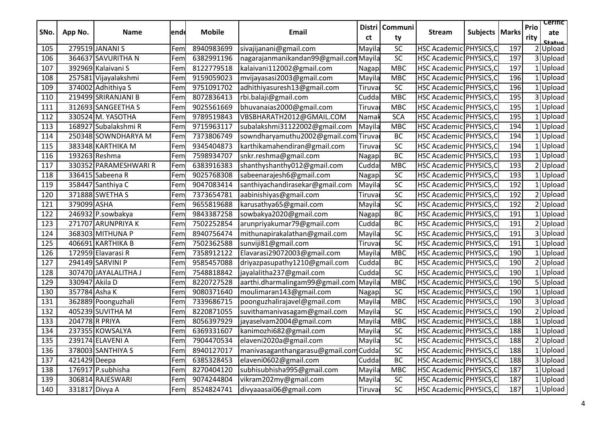| SNo. | App No.        | <b>Name</b>           | lende | <b>Mobile</b> | <b>Email</b>                           | ct                 | Distri   Communi<br>ty | <b>Stream</b>           | <b>Subjects   Marks</b> |     | Prio<br>rity | <b>Cerific</b><br>ate<br>Status |  |
|------|----------------|-----------------------|-------|---------------|----------------------------------------|--------------------|------------------------|-------------------------|-------------------------|-----|--------------|---------------------------------|--|
| 105  |                | 279519 JANANI S       | Fem   | 8940983699    | sivajijanani@gmail.com                 | Mayila             | SC                     | HSC Academic PHYSICS, C |                         | 197 |              | Upload                          |  |
| 106  |                | 364637 SAVURITHA N    | Fem   | 6382991196    | nagarajanmanikandan99@gmail.comMayila  |                    | SC                     | HSC Academic PHYSICS, C |                         | 197 | 3            | Upload                          |  |
| 107  |                | 392969 Kalaivani S    | Fem   | 8122779518    | kalaivani112002@gmail.com              | Nagapa             | <b>MBC</b>             | HSC Academic PHYSICS, C |                         | 197 |              | Upload                          |  |
| 108  |                | 257581 Vijayalakshmi  | Fem   | 9159059023    | mvijayasasi2003@gmail.com              | Mayila             | <b>MBC</b>             | HSC Academic PHYSICS, C |                         | 196 |              | Upload                          |  |
| 109  |                | 374002 Adhithiya S    | Fem   | 9751091702    | adhithiyasuresh13@gmail.com            | Tiruva             | <b>SC</b>              | HSC Academic PHYSICS, C |                         | 196 |              | Upload                          |  |
| 110  |                | 219499 SRIRANJANI B   | Fem   | 8072836413    | rbi.balaji@gmail.com                   | Cudda              | <b>MBC</b>             | HSC Academic PHYSICS, C |                         | 195 |              | Upload                          |  |
| 111  |                | 312693 SANGEETHAS     | Fem   | 9025561669    | bhuvanaias2000@gmail.com               | Tiruvar            | <b>MBC</b>             | HSC Academic PHYSICS, C |                         | 195 |              | Upload                          |  |
| 112  |                | 330524 M. YASOTHA     | Fem   | 9789519843    | VBSBHARATH2012@GMAIL.COM               | Namal              | <b>SCA</b>             | HSC Academic PHYSICS, C |                         | 195 |              | Upload                          |  |
| 113  |                | 168927 Subalakshmi R  | Fem   | 9715963117    | subalakshmi31122002@gmail.com          | Mayila             | <b>MBC</b>             | HSC Academic PHYSICS, C |                         | 194 |              | Upload                          |  |
| 114  |                | 250348 SOWNDHARYA M   | Fem   | 7373806749    | sowndharyamuthu2002@gmail.com          | Tiruva             | BC                     | HSC Academic PHYSICS, C |                         | 194 |              | Upload                          |  |
| 115  |                | 383348 KARTHIKA M     | Fem   | 9345404873    | karthikamahendiran@gmail.com           | Tiruvaı            | SC                     | HSC Academic PHYSICS, C |                         | 194 |              | Upload                          |  |
| 116  |                | 193263 Reshma         | Fem   | 7598934707    | snkr.reshma@gmail.com                  | Nagapa             | <b>BC</b>              | HSC Academic PHYSICS, C |                         | 193 |              | Upload                          |  |
| 117  |                | 330352 PARAMESHWARI R | Fem   | 6383916383    | shanthyshanthy012@gmail.com            | Cudda              | MBC                    | HSC Academic PHYSICS, C |                         | 193 |              | Upload                          |  |
| 118  |                | 336415 Sabeena R      | Fem   | 9025768308    | sabeenarajesh6@gmail.com               | Nagapi             | SC                     | HSC Academic PHYSICS, C |                         | 193 |              | Upload                          |  |
| 119  |                | 358447 Santhiya C     | Fem   | 9047083414    | santhiyachandirasekar@gmail.com        | Mayila             | SC                     | HSC Academic PHYSICS, C |                         | 192 |              | Upload                          |  |
| 120  |                | 371888 SWETHA S       | Fem   | 7373654781    | aabinishiyas@gmail.com                 | Tiruvar            | SC                     | HSC Academic PHYSICS, C |                         | 192 |              | Upload                          |  |
| 121  | 379099 ASHA    |                       | Fem   | 9655819688    | karusathya65@gmail.com                 | Mayila             | SC                     | HSC Academic PHYSICS, C |                         | 192 |              | Upload                          |  |
| 122  |                | 246932 P.sowbakya     | Fem   | 9843387258    | sowbakya2020@gmail.com                 | Nagap <sup>®</sup> | <b>BC</b>              | HSC Academic PHYSICS, C |                         | 191 |              | Upload                          |  |
| 123  |                | 271707 ARUNPRIYA K    | Fem   | 7502252854    | arunpriyakumar79@gmail.com             | Cuddal             | <b>BC</b>              | HSC Academic PHYSICS, C |                         | 191 |              | Upload                          |  |
| 124  |                | 368303 MITHUNA P      | Fem   | 8940756474    | mithunapirakalathan@gmail.com          | Mayila             | SC                     | HSC Academic PHYSICS, C |                         | 191 |              | Upload                          |  |
| 125  |                | 406691 KARTHIKA B     | Fem   | 7502362588    | sunviji81@gmail.com                    | Tiruva             | SC                     | HSC Academic PHYSICS, C |                         | 191 |              | Upload                          |  |
| 126  |                | 172959 Elavarasi R    | Fem   | 7358912122    | Elavarasi29072003@gmail.com            | Mayila             | <b>MBC</b>             | HSC Academic PHYSICS, C |                         | 190 |              | Upload                          |  |
| 127  |                | 294149 SARVINI P      | Fem   | 9585457088    | driyazpasupathy1210@gmail.com          | Cuddal             | <b>BC</b>              | HSC Academic PHYSICS, C |                         | 190 |              | 2 Upload                        |  |
| 128  |                | 307470 JAYALALITHA J  | Fem   | 7548818842    | jayalalitha237@gmail.com               | Cudda              | SC                     | HSC Academic PHYSICS, C |                         | 190 |              | Upload                          |  |
| 129  | 330947 Akila D |                       | Fem   | 8220727528    | aarthi.dharmalingam99@gmail.com        | Mayila             | <b>MBC</b>             | HSC Academic PHYSICS, C |                         | 190 |              | 5 Upload                        |  |
| 130  | 357784 Asha K  |                       | Fem   | 9080371640    | moulimaran143@gmail.com                | Nagap              | <b>SC</b>              | HSC Academic PHYSICS, C |                         | 190 |              | Upload                          |  |
| 131  |                | 362889 Poonguzhali    | Fem   | 7339686715    | poonguzhalirajavel@gmail.com           | Mayila             | <b>MBC</b>             | HSC Academic PHYSICS, C |                         | 190 |              | 3 Upload                        |  |
| 132  |                | 405239 SUVITHA M      | Fem   | 8220871055    | suvithamanivasagam@gmail.com           | Mayila             | SC                     | HSC Academic PHYSICS, C |                         | 190 |              | Upload                          |  |
| 133  | 204778 R PRIYA |                       | Fem   | 8056397929    | jayaselvam2004@gmail.com               | Mayila             | <b>MBC</b>             | HSC Academic PHYSICS, C |                         | 188 |              | Upload                          |  |
| 134  |                | 237355 KOWSALYA       | Fem   | 6369331607    | kanimozhi682@gmail.com                 | Mayila             | SC                     | HSC Academic PHYSICS, C |                         | 188 |              | Upload                          |  |
| 135  |                | 239174 ELAVENI A      | Fem   | 7904470534    | elaveni2020a@gmail.com                 | Mayila             | $\overline{SC}$        | HSC Academic PHYSICS, C |                         | 188 |              | $2$ Upload                      |  |
| 136  |                | 378003 SANTHIYA S     | Fem   | 8940127017    | manivasaganthangarasu@gmail.com Cuddal |                    | SC                     | HSC Academic PHYSICS, C |                         | 188 |              | Upload                          |  |
| 137  | 421429 Deepa   |                       | Fem   | 6385328453    | elaveni0602@gmail.com                  | Cuddal             | <b>BC</b>              | HSC Academic PHYSICS,C  |                         | 188 |              | 3 Upload                        |  |
| 138  |                | 176917 P.subhisha     | Fem   | 8270404120    | subhisubhisha995@gmail.com             | Mayila             | <b>MBC</b>             | HSC Academic PHYSICS, C |                         | 187 |              | 1 Upload                        |  |
| 139  |                | 306814 RAJESWARI      | Fem   | 9074244804    | vikram202my@gmail.com                  | Mayila             | SC                     | HSC Academic PHYSICS, C |                         | 187 |              | Upload                          |  |
| 140  | 331817 Divya A |                       | Fem   | 8524824741    | divyaaasai06@gmail.com                 | Tiruvaı            | SC                     | HSC Academic PHYSICS, C |                         | 187 |              | 1 Upload                        |  |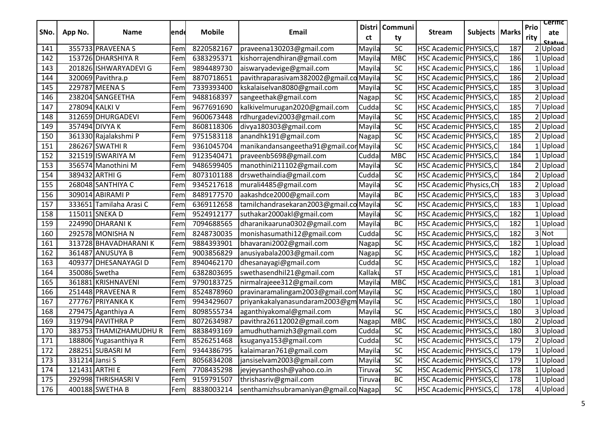| SNo. | App No.        | <b>Name</b>             | lende | <b>Mobile</b> | <b>Email</b>                            | ct      | Distri   Communi<br>ty | <b>Stream</b>            | Subjects   Marks |     | Prio<br>rity | <b>Cerific</b><br>ate<br>Status |
|------|----------------|-------------------------|-------|---------------|-----------------------------------------|---------|------------------------|--------------------------|------------------|-----|--------------|---------------------------------|
| 141  |                | 355733 PRAVEENA S       | Fem   | 8220582167    | praveena130203@gmail.com                | Mayila  | SC                     | HSC Academic PHYSICS, C  |                  | 187 |              | 2 Upload                        |
| 142  |                | 153726 DHARSHIYA R      | Fem   | 6383295371    | kishorrajendhiran@gmail.com             | Mayila  | <b>MBC</b>             | HSC Academic PHYSICS, C  |                  | 186 |              | Upload                          |
| 143  |                | 201826 ISHWARYADEVI G   | Fem   | 9894489730    | aiswaryadevige@gmail.com                | Mayila  | SC                     | HSC Academic PHYSICS, C  |                  | 186 |              | Upload                          |
| 144  |                | 320069 Pavithra.p       | Fem   | 8870718651    | pavithraparasivam382002@gmail.co Mayila |         | SC                     | HSC Academic PHYSICS, C  |                  | 186 |              | 2 Upload                        |
| 145  |                | 229787 MEENA S          | Fem   | 7339393400    | kskalaiselvan8080@gmail.com             | Mayila  | $\sf SC$               | HSC Academic PHYSICS, C  |                  | 185 |              | 3 Upload                        |
| 146  |                | 238204 SANGEETHA        | Fem   | 9488168397    | sangeethak@gmail.com                    | Nagap   | SC                     | HSC Academic PHYSICS, C  |                  | 185 |              | 2 Upload                        |
| 147  | 278094 KALKI V |                         | Fem   | 9677691690    | kalkivelmurugan2020@gmail.com           | Cudda   | $\sf SC$               | HSC Academic PHYSICS, C  |                  | 185 |              | 7 Upload                        |
| 148  |                | 312659 DHURGADEVI       | Fem   | 9600673448    | rdhurgadevi2003@gmail.com               | Mayila  | $\sf SC$               | HSC Academic PHYSICS, C  |                  | 185 |              | 2 Upload                        |
| 149  |                | 357494 DIVYA K          | Fem   | 8608118306    | divya180303@gmail.com                   | Mayila  | SC                     | HSC Academic PHYSICS, C  |                  | 185 |              | Upload                          |
| 150  |                | 361330 Rajalakshmi P    | Fem   | 9751583118    | anandhk191@gmail.com                    | Nagap   | SC                     | HSC Academic PHYSICS, C  |                  | 185 |              | 2 Upload                        |
| 151  |                | 286267 SWATHI R         | Fem   | 9361045704    | manikandansangeetha91@gmail.corMayila   |         | SC                     | HSC Academic PHYSICS, C  |                  | 184 |              | Upload                          |
| 152  |                | 321519 ISWARIYA M       | Fem   | 9123540471    | praveenb5698@gmail.com                  | Cuddal  | <b>MBC</b>             | HSC Academic PHYSICS, C  |                  | 184 |              | 1 Upload                        |
| 153  |                | 356574 Manothini M      | Fem   | 9486599405    | manothini211102@gmail.com               | Mayila  | SC                     | HSC Academic PHYSICS, C  |                  | 184 |              | 2 Upload                        |
| 154  |                | 389432 ARTHI G          | Fem   | 8073101188    | drswethaindia@gmail.com                 | Cuddal  | SC                     | HSC Academic PHYSICS, C  |                  | 184 |              | 2 Upload                        |
| 155  |                | 268048 SANTHIYA C       | Fem   | 9345217618    | murali4485@gmail.com                    | Mayila  | $\sf SC$               | HSC Academic Physics, Ch |                  | 183 |              | 2 Upload                        |
| 156  |                | 309014 ABIRAMI P        | Fem   | 8489177570    | aakashdce2000@gmail.com                 | Mayila  | <b>BC</b>              | HSC Academic PHYSICS, C  |                  | 183 |              | 3 Upload                        |
| 157  |                | 333651 Tamilaha Arasi C | Fem   | 6369112658    | tamilchandrasekaran2003@gmail.co Mayila |         | SC                     | HSC Academic PHYSICS, C  |                  | 183 |              | Upload                          |
| 158  |                | 115011 SNEKA D          | Fem   | 9524912177    | suthakar2000akl@gmail.com               | Mayila  | SC                     | HSC Academic PHYSICS, C  |                  | 182 |              | Upload                          |
| 159  |                | 224990 DHARANI K        | Fem   | 7094688565    | dharanikaaruna0302@gmail.com            | Mayila  | <b>BC</b>              | HSC Academic PHYSICS, C  |                  | 182 |              | $1$ Upload                      |
| 160  |                | 292578 MONISHA N        | Fem   | 8248730035    | monishasumathi12@gmail.com              | Cudda   | <b>SC</b>              | HSC Academic PHYSICS, C  |                  | 182 |              | 3 Not                           |
| 161  |                | 313728 BHAVADHARANIK    | Fem   | 9884393901    | bhavarani2002@gmail.com                 | Nagapi  | $\sf SC$               | HSC Academic PHYSICS, C  |                  | 182 |              | Upload                          |
| 162  |                | 361487 ANUSUYA B        | Fem   | 9003856829    | anusiyabala2003@gmail.com               | Nagapi  | $\sf SC$               | HSC Academic PHYSICS, C  |                  | 182 |              | Upload                          |
| 163  |                | 409377 DHESANAYAGI D    | Fem   | 8940462170    | dhesanayagi@gmail.com                   | Cuddal  | SC                     | HSC Academic PHYSICS, C  |                  | 182 |              | Upload                          |
| 164  | 350086 Swetha  |                         | Fem   | 6382803695    | swethasendhil21@gmail.com               | Kallaku | <b>ST</b>              | HSC Academic PHYSICS, C  |                  | 181 |              | Upload                          |
| 165  |                | 361881 KRISHNAVENI      | Fem   | 9790183725    | nirmalrajeee312@gmail.com               | Mayila  | <b>MBC</b>             | HSC Academic PHYSICS, C  |                  | 181 |              | 3 Upload                        |
| 166  |                | 251448 PRAVEENA R       | Fem   | 8524878960    | pravinaramalingam2003@gmail.comMayila   |         | SC                     | HSC Academic PHYSICS, C  |                  | 180 |              | 1 Upload                        |
| 167  |                | 277767 PRIYANKA K       | Fem   | 9943429607    | priyankakalyanasundaram2003@gm Mayila   |         | SC                     | HSC Academic PHYSICS, C  |                  | 180 |              | 1 Upload                        |
| 168  |                | 279475 Aganthiya A      | Fem   | 8098555734    | aganthiyakomal@gmail.com                | Mayila  | SC                     | HSC Academic PHYSICS, C  |                  | 180 |              | 3 Upload                        |
| 169  |                | 319794 PAVITHRA P       | Fem   | 8072634987    | pavithra26112002@gmail.com              | Nagap   | <b>MBC</b>             | HSC Academic PHYSICS, C  |                  | 180 |              | 2 Upload                        |
| 170  |                | 383753 THAMIZHAMUDHU R  | Fem   | 8838493169    | amudhuthamizh3@gmail.com                | Cuddal  | SC                     | HSC Academic PHYSICS, C  |                  | 180 |              | $\overline{3}$ Upload           |
| 171  |                | 188806 Yugasanthiya R   | Fem   | 8526251468    | ksuganya153@gmail.com                   | Cuddal  | SC                     | HSC Academic PHYSICS, C  |                  | 179 |              | 2 Upload                        |
| 172  |                | 288251 SUBASRIM         | Fem   | 9344386795    | kalaimaran761@gmail.com                 | Mayila  | $\sf SC$               | HSC Academic PHYSICS, C  |                  | 179 |              | 1Upload                         |
| 173  | 331214 Jansi S |                         | Fem   | 8056834208    | jansiselvam2003@gmail.com               | Mayila  | SC                     | HSC Academic PHYSICS, C  |                  | 179 |              | 1 Upload                        |
| 174  |                | 121431 ARTHI E          | Fem   | 7708435298    | jeyjeysanthosh@yahoo.co.in              | Tiruvar | SC                     | HSC Academic PHYSICS, C  |                  | 178 |              | $1$ Upload                      |
| 175  |                | 292998 THRISHASRIV      | Fem   | 9159791507    | thrishasriv@gmail.com                   | Tiruva  | BC                     | HSC Academic PHYSICS, C  |                  | 178 |              | Upload                          |
| 176  |                | 400188 SWETHA B         | Fem   | 8838003214    | senthamizhsubramaniyan@gmail.co Nagap   |         | SC                     | HSC Academic PHYSICS, C  |                  | 178 |              | 4 Upload                        |